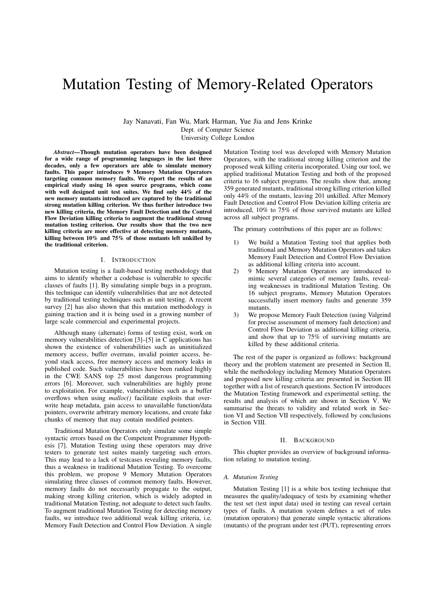# Mutation Testing of Memory-Related Operators

Jay Nanavati, Fan Wu, Mark Harman, Yue Jia and Jens Krinke Dept. of Computer Science University College London

*Abstract*—Though mutation operators have been designed for a wide range of programming languages in the last three decades, only a few operators are able to simulate memory faults. This paper introduces 9 Memory Mutation Operators targeting common memory faults. We report the results of an empirical study using 16 open source programs, which come with well designed unit test suites. We find only 44% of the new memory mutants introduced are captured by the traditional strong mutation killing criterion. We thus further introduce two new killing criteria, the Memory Fault Detection and the Control Flow Deviation killing criteria to augment the traditional strong mutation testing criterion. Our results show that the two new killing criteria are more effective at detecting memory mutants, killing between 10% and 75% of those mutants left unkilled by the traditional criterion.

## I. INTRODUCTION

Mutation testing is a fault-based testing methodology that aims to identify whether a codebase is vulnerable to specific classes of faults [1]. By simulating simple bugs in a program, this technique can identify vulnerabilities that are not detected by traditional testing techniques such as unit testing. A recent survey [2] has also shown that this mutation methodology is gaining traction and it is being used in a growing number of large scale commercial and experimental projects.

Although many (alternate) forms of testing exist, work on memory vulnerabilities detection [3]–[5] in C applications has shown the existence of vulnerabilities such as uninitialized memory access, buffer overruns, invalid pointer access, beyond stack access, free memory access and memory leaks in published code. Such vulnerabilities have been ranked highly in the CWE SANS top 25 most dangerous programming errors [6]. Moreover, such vulnerabilities are highly prone to exploitation. For example, vulnerabilities such as a buffer overflows when using *malloc()* facilitate exploits that overwrite heap metadata, gain access to unavailable function/data pointers, overwrite arbitrary memory locations, and create fake chunks of memory that may contain modified pointers.

Traditional Mutation Operators only simulate some simple syntactic errors based on the Competent Programmer Hypothesis [7]. Mutation Testing using these operators may drive testers to generate test suites mainly targeting such errors. This may lead to a lack of testcases revealing memory faults, thus a weakness in traditional Mutation Testing. To overcome this problem, we propose 9 Memory Mutation Operators simulating three classes of common memory faults. However, memory faults do not necessarily propagate to the output, making strong killing criterion, which is widely adopted in traditional Mutation Testing, not adequate to detect such faults. To augment traditional Mutation Testing for detecting memory faults, we introduce two additional weak killing criteria, i.e. Memory Fault Detection and Control Flow Deviation. A single Mutation Testing tool was developed with Memory Mutation Operators, with the traditional strong killing criterion and the proposed weak killing criteria incorporated. Using our tool, we applied traditional Mutation Testing and both of the proposed criteria to 16 subject programs. The results show that, among 359 generated mutants, traditional strong killing criterion killed only 44% of the mutants, leaving 201 unkilled. After Memory Fault Detection and Control Flow Deviation killing criteria are introduced, 10% to 75% of those survived mutants are killed across all subject programs.

The primary contributions of this paper are as follows:

- 1) We build a Mutation Testing tool that applies both traditional and Memory Mutation Operators and takes Memory Fault Detection and Control Flow Deviation as additional killing criteria into account.
- 2) 9 Memory Mutation Operators are introduced to mimic several categories of memory faults, revealing weaknesses in traditional Mutation Testing. On 16 subject programs, Memory Mutation Operators successfully insert memory faults and generate 359 mutants.
- 3) We propose Memory Fault Detection (using Valgrind for precise assessment of memory fault detection) and Control Flow Deviation as additional killing criteria, and show that up to 75% of surviving mutants are killed by these additional criteria.

The rest of the paper is organized as follows: background theory and the problem statement are presented in Section II, while the methodology including Memory Mutation Operators and proposed new killing criteria are presented in Section III together with a list of research questions. Section IV introduces the Mutation Testing framework and experimental setting, the results and analysis of which are shown in Section V. We summarise the threats to validity and related work in Section VI and Section VII respectively, followed by conclusions in Section VIII.

# II. BACKGROUND

This chapter provides an overview of background information relating to mutation testing.

## *A. Mutation Testing*

Mutation Testing [1] is a white box testing technique that measures the quality/adequacy of tests by examining whether the test set (test input data) used in testing can reveal certain types of faults. A mutation system defines a set of rules (mutation operators) that generate simple syntactic alterations (mutants) of the program under test (PUT), representing errors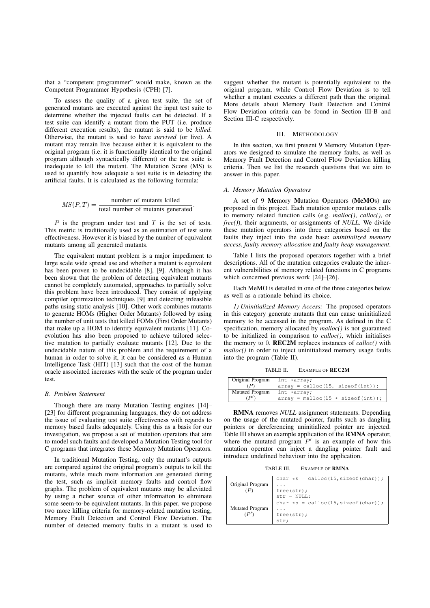that a "competent programmer" would make, known as the Competent Programmer Hypothesis (CPH) [7].

To assess the quality of a given test suite, the set of generated mutants are executed against the input test suite to determine whether the injected faults can be detected. If a test suite can identify a mutant from the PUT (i.e. produce different execution results), the mutant is said to be *killed*. Otherwise, the mutant is said to have *survived* (or live). A mutant may remain live because either it is equivalent to the original program (i.e. it is functionally identical to the original program although syntactically different) or the test suite is inadequate to kill the mutant. The Mutation Score (MS) is used to quantify how adequate a test suite is in detecting the artificial faults. It is calculated as the following formula:

# $MS(P, T) = \frac{\text{number of mutants killed}}{\text{total number of mutants generated}}.$

*P* is the program under test and *T* is the set of tests. This metric is traditionally used as an estimation of test suite effectiveness. However it is biased by the number of equivalent mutants among all generated mutants.

The equivalent mutant problem is a major impediment to large scale wide spread use and whether a mutant is equivalent has been proven to be undecidable [8], [9]. Although it has been shown that the problem of detecting equivalent mutants cannot be completely automated, approaches to partially solve this problem have been introduced. They consist of applying compiler optimization techniques [9] and detecting infeasible paths using static analysis [10]. Other work combines mutants to generate HOMs (Higher Order Mutants) followed by using the number of unit tests that killed FOMs (First Order Mutants) that make up a HOM to identify equivalent mutants [11]. Coevolution has also been proposed to achieve tailored selective mutation to partially evaluate mutants [12]. Due to the undecidable nature of this problem and the requirement of a human in order to solve it, it can be considered as a Human Intelligence Task (HIT) [13] such that the cost of the human oracle associated increases with the scale of the program under test.

## *B. Problem Statement*

Though there are many Mutation Testing engines [14]– [23] for different programming languages, they do not address the issue of evaluating test suite effectiveness with regards to memory based faults adequately. Using this as a basis for our investigation, we propose a set of mutation operators that aim to model such faults and developed a Mutation Testing tool for C programs that integrates these Memory Mutation Operators.

In traditional Mutation Testing, only the mutant's outputs are compared against the original program's outputs to kill the mutants, while much more information are generated during the test, such as implicit memory faults and control flow graphs. The problem of equivalent mutants may be alleviated by using a richer source of other information to eliminate some seem-to-be equivalent mutants. In this paper, we propose two more killing criteria for memory-related mutation testing, Memory Fault Detection and Control Flow Deviation. The number of detected memory faults in a mutant is used to suggest whether the mutant is potentially equivalent to the original program, while Control Flow Deviation is to tell whether a mutant executes a different path than the original. More details about Memory Fault Detection and Control Flow Deviation criteria can be found in Section III-B and Section III-C respectively.

## III. METHODOLOGY

In this section, we first present 9 Memory Mutation Operators we designed to simulate the memory faults, as well as Memory Fault Detection and Control Flow Deviation killing criteria. Then we list the research questions that we aim to answer in this paper.

#### *A. Memory Mutation Operators*

A set of 9 Memory Mutation Operators (MeMOs) are proposed in this project. Each mutation operator mutates calls to memory related function calls (e.g. *malloc()*, *calloc()*, or *free()*), their arguments, or assignments of *NULL*. We divide these mutation operators into three categories based on the faults they inject into the code base: *uninitialized memory access*, *faulty memory allocation* and *faulty heap management*.

Table I lists the proposed operators together with a brief descriptions. All of the mutation categories evaluate the inherent vulnerabilities of memory related functions in C programs which concerned previous work [24]–[26].

Each MeMO is detailed in one of the three categories below as well as a rationale behind its choice.

*1) Uninitialized Memory Access:* The proposed operators in this category generate mutants that can cause uninitialized memory to be accessed in the program. As defined in the C specification, memory allocated by *malloc()* is not guaranteed to be initialized in comparison to *calloc()*, which initialises the memory to 0. REC2M replaces instances of *calloc()* with *malloc()* in order to inject uninitialized memory usage faults into the program (Table II).

TABLE II. EXAMPLE OF REC2M

| Original Program     | int *array;                         |
|----------------------|-------------------------------------|
|                      | $array = calloc(15, sizeof(int));$  |
| Mutated Program      | int *array;                         |
| $\langle P' \rangle$ | $array = malloc(15 * sizeof(int));$ |

RMNA removes *NULL* assignment statements. Depending on the usage of the mutated pointer, faults such as dangling pointers or dereferencing uninitialized pointer are injected. Table III shows an example application of the RMNA operator, where the mutated program  $P'$  is an example of how this mutation operator can inject a dangling pointer fault and introduce undefined behaviour into the application.

TABLE III. EXAMPLE OF RMNA

|                  | char $\star s =$ calloc(15, size of (char)); |  |  |
|------------------|----------------------------------------------|--|--|
| Original Program |                                              |  |  |
|                  | free(str);                                   |  |  |
|                  | $str = NULL:$                                |  |  |
|                  | char $\star s =$ calloc(15, size of (char)); |  |  |
| Mutated Program  |                                              |  |  |
|                  | free(str);                                   |  |  |
|                  | str:                                         |  |  |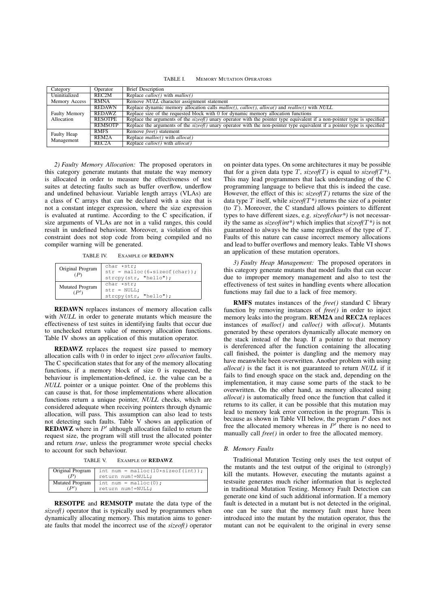TABLE I. MEMORY MUTATION OPERATORS

| Category      | Operator           | <b>Brief Description</b>                                                                                                                   |
|---------------|--------------------|--------------------------------------------------------------------------------------------------------------------------------------------|
| Uninitialized | REC2M              | Replace <i>calloc()</i> with <i>malloc()</i>                                                                                               |
| Memory Access | <b>RMNA</b>        | Remove <i>NULL</i> character assignment statement                                                                                          |
|               | <b>REDAWN</b>      | Replace dynamic memory allocation calls $\text{malloc}()$ , $\text{calocc}()$ , $\text{alloc}()$ and $\text{realloc}()$ with $\text{NULL}$ |
| Faulty Memory | REDAWZ             | Replace size of the requested block with 0 for dynamic memory allocation functions                                                         |
| Allocation    | <b>RESOTPE</b>     | Replace the arguments of the $sizeof()$ unary operator with the pointer type equivalent if a non-pointer type is specified                 |
|               | <b>REMSOTP</b>     | Replace the arguments of the sizeof() unary operator with the non-pointer type equivalent if a pointer type is specified                   |
| Faulty Heap   | <b>RMFS</b>        | Remove <i>free()</i> statement                                                                                                             |
| Management    | REM <sub>2</sub> A | Replace $malloc()$ with $alloca()$                                                                                                         |
|               | REC <sub>2</sub> A | Replace calloc() with alloca()                                                                                                             |

*2) Faulty Memory Allocation:* The proposed operators in this category generate mutants that mutate the way memory is allocated in order to measure the effectiveness of test suites at detecting faults such as buffer overflow, underflow and undefined behaviour. Variable length arrays (VLAs) are a class of C arrays that can be declared with a size that is not a constant integer expression, where the size expression is evaluated at runtime. According to the C specification, if size arguments of VLAs are not in a valid ranges, this could result in undefined behaviour. Moreover, a violation of this constraint does not stop code from being compiled and no compiler warning will be generated.

TABLE IV. EXAMPLE OF REDAWN

| Original Program | char *str;<br>$str =$ malloc( $6 * size of (char)$ );<br>strcpy(str, "hello"); |  |  |
|------------------|--------------------------------------------------------------------------------|--|--|
| Mutated Program  | char *str;<br>$str = NULL:$<br>strcpy(str, "hello");                           |  |  |

REDAWN replaces instances of memory allocation calls with *NULL* in order to generate mutants which measure the effectiveness of test suites in identifying faults that occur due to unchecked return value of memory allocation functions. Table IV shows an application of this mutation operator.

REDAWZ replaces the request size passed to memory allocation calls with 0 in order to inject *zero allocation* faults. The C specification states that for any of the memory allocating functions, if a memory block of size 0 is requested, the behaviour is implementation-defined, i.e. the value can be a *NULL* pointer or a unique pointer. One of the problems this can cause is that, for those implementations where allocation functions return a unique pointer, *NULL* checks, which are considered adequate when receiving pointers through dynamic allocation, will pass. This assumption can also lead to tests not detecting such faults. Table V shows an application of **REDAWZ** where in  $P'$  although allocation failed to return the request size, the program will still trust the allocated pointer and return *true*, unless the programmer wrote special checks to account for such behaviour.

TABLE V. EXAMPLE OF REDAWZ

| Original Program    | int num = malloc $(10*sizeof(int));$ |
|---------------------|--------------------------------------|
|                     | return num!=NULL;                    |
| Mutated Program     | int num = $malloc(0);$               |
| $\langle P'\rangle$ | return num!=NULL;                    |

RESOTPE and REMSOTP mutate the data type of the *sizeof()* operator that is typically used by programmers when dynamically allocating memory. This mutation aims to generate faults that model the incorrect use of the *sizeof()* operator on pointer data types. On some architectures it may be possible that for a given data type *T*, *sizeof(T)* is equal to *sizeof(T<sup>\*</sup>)*. This may lead programmers that lack understanding of the C programming language to believe that this is indeed the case. However, the effect of this is:  $\text{size}$  *sizeof(T)* returns the size of the data type  $T$  itself, while  $\text{size}$  *of* $(T^*)$  returns the size of a pointer (to *T*). Moreover, the C standard allows pointers to different types to have different sizes, e.g. *sizeof(char\*)* is not necessarily the same as *sizeof(int\*)* which implies that *sizeof(T\*)* is not guaranteed to always be the same regardless of the type of *T*. Faults of this nature can cause incorrect memory allocations and lead to buffer overflows and memory leaks. Table VI shows an application of these mutation operators.

*3) Faulty Heap Management:* The proposed operators in this category generate mutants that model faults that can occur due to improper memory management and also to test the effectiveness of test suites in handling events where allocation functions may fail due to a lack of free memory.

RMFS mutates instances of the *free()* standard C library function by removing instances of *free()* in order to inject memory leaks into the program. REM2A and REC2A replaces instances of *malloc()* and *calloc()* with *alloca()*. Mutants generated by these operators dynamically allocate memory on the stack instead of the heap. If a pointer to that memory is dereferenced after the function containing the allocating call finished, the pointer is dangling and the memory may have meanwhile been overwritten. Another problem with using *alloca()* is the fact it is not guaranteed to return *NULL* if it fails to find enough space on the stack and, depending on the implementation, it may cause some parts of the stack to be overwritten. On the other hand, as memory allocated using *alloca()* is automatically freed once the function that called it returns to its caller, it can be possible that this mutation may lead to memory leak error correction in the program. This is because as shown in Table VII below, the program *P* does not free the allocated memory whereas in  $P<sup>T</sup>$  there is no need to manually call *free()* in order to free the allocated memory.

# *B. Memory Faults*

Traditional Mutation Testing only uses the test output of the mutants and the test output of the original to (strongly) kill the mutants. However, executing the mutants against a testsuite generates much richer information that is neglected in traditional Mutation Testing. Memory Fault Detection can generate one kind of such additional information. If a memory fault is detected in a mutant but is not detected in the original, one can be sure that the memory fault must have been introduced into the mutant by the mutation operator, thus the mutant can not be equivalent to the original in every sense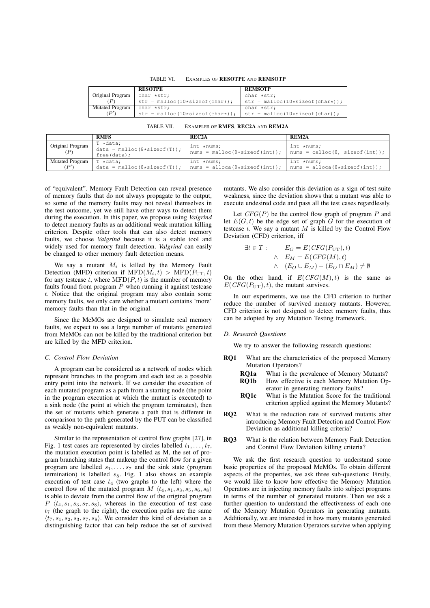TABLE VI. EXAMPLES OF RESOTPE AND REMSOTP

|                        | <b>RESOTPE</b>                                           | <b>REMSOTP</b>                           |
|------------------------|----------------------------------------------------------|------------------------------------------|
| Original Program       | char *str:                                               | char *str;                               |
| (P)                    | $str = \text{malloc}(10 * \text{sizeof}(\text{char}))$ ; | $str = \text{malloc}(10*sizeof(char))$ ; |
| <b>Mutated Program</b> | char *str:                                               | char *str;                               |
| (P')                   | $str = malloc(10*sizeof(char))$ ;                        | $str =$ malloc(10*sizeof(char));         |

| TABLE VII. |  | EXAMPLES OF RMFS. REC2A AND REM2A |
|------------|--|-----------------------------------|
|------------|--|-----------------------------------|

|                         | <b>RMFS</b>                                                 | REC <sub>2</sub> A                            | <b>REM2A</b>                                   |
|-------------------------|-------------------------------------------------------------|-----------------------------------------------|------------------------------------------------|
| Original Program<br>(P) | T *data:<br>$data = malloc(8*sizeof(T));$<br>$free(data)$ ; | int *nums;<br>$nums = malloc(8*sizeof(int));$ | int *nums;<br>$nums = calloc(8, sizeof(int));$ |
| Mutated Program         | T *data:                                                    | int *nums;                                    | int *nums;                                     |
| P'                      | $data = malloc(8*sizeof(T));$                               | $nums =$ alloca(8*sizeof(int));               | $nums =$ alloca $(8 * sizeof(int))$ ;          |

of "equivalent". Memory Fault Detection can reveal presence of memory faults that do not always propagate to the output, so some of the memory faults may not reveal themselves in the test outcome, yet we still have other ways to detect them during the execution. In this paper, we propose using *Valgrind* to detect memory faults as an additional weak mutation killing criterion. Despite other tools that can also detect memory faults, we choose *Valgrind* because it is a stable tool and widely used for memory fault detection. *Valgrind* can easily be changed to other memory fault detection means.

We say a mutant  $M_i$  is killed by the Memory Fault Detection (MFD) criterion if  $\text{MFD}(M_i, t) > \text{MFD}(P_{\text{UT}}, t)$ for any testcase  $t$ , where  $\text{MFD}(P, t)$  is the number of memory faults found from program *P* when running it against testcase *t*. Notice that the original program may also contain some memory faults, we only care whether a mutant contains 'more' memory faults than that in the original.

Since the MeMOs are designed to simulate real memory faults, we expect to see a large number of mutants generated from MeMOs can not be killed by the traditional criterion but are killed by the MFD criterion.

#### *C. Control Flow Deviation*

A program can be considered as a network of nodes which represent branches in the program and each test as a possible entry point into the network. If we consider the execution of each mutated program as a path from a starting node (the point in the program execution at which the mutant is executed) to a sink node (the point at which the program terminates), then the set of mutants which generate a path that is different in comparison to the path generated by the PUT can be classified as weakly non-equivalent mutants.

Similar to the representation of control flow graphs [27], in Fig. 1 test cases are represented by circles labelled  $t_1, \ldots, t_7$ , the mutation execution point is labelled as M, the set of program branching states that makeup the control flow for a given program are labelled *s*1*,...,s*<sup>7</sup> and the sink state (program termination) is labelled  $s_8$ . Fig. 1 also shows an example execution of test case  $t_4$  (two graphs to the left) where the control flow of the mutated program *M*  $\langle t_4, s_1, s_3, s_5, s_6, s_8 \rangle$ is able to deviate from the control flow of the original program *P*  $\langle t_4, s_1, s_3, s_7, s_8 \rangle$ , whereas in the execution of test case  $t_7$  (the graph to the right), the execution paths are the same  $\langle t_7, s_1, s_2, s_3, s_7, s_8 \rangle$ . We consider this kind of deviation as a distinguishing factor that can help reduce the set of survived mutants. We also consider this deviation as a sign of test suite weakness, since the deviation shows that a mutant was able to execute undesired code and pass all the test cases regardlessly.

Let *CFG*(*P*) be the control flow graph of program *P* and let  $E(G, t)$  be the edge set of graph  $G$  for the execution of testcase *t*. We say a mutant *M* is killed by the Control Flow Deviation (CFD) criterion, iff

$$
\exists t \in T: \qquad E_O = E(CFG(P_{UT}), t)
$$

$$
\land \quad E_M = E(CFG(M), t)
$$

$$
\land \quad (E_O \cup E_M) - (E_O \cap E_M) \neq \emptyset
$$

On the other hand, if  $E(CFG(M), t)$  is the same as  $E(CFG(P<sub>UT</sub>), t)$ , the mutant survives.

In our experiments, we use the CFD criterion to further reduce the number of survived memory mutants. However, CFD criterion is not designed to detect memory faults, thus can be adopted by any Mutation Testing framework.

## *D. Research Questions*

We try to answer the following research questions:

- RQ1 What are the characteristics of the proposed Memory Mutation Operators?
	- RQ1a What is the prevalence of Memory Mutants?
	- RQ1b How effective is each Memory Mutation Operator in generating memory faults?
	- RQ1c What is the Mutation Score for the traditional criterion applied against the Memory Mutants?
- RQ2 What is the reduction rate of survived mutants after introducing Memory Fault Detection and Control Flow Deviation as additional killing criteria?
- RQ3 What is the relation between Memory Fault Detection and Control Flow Deviation killing criteria?

We ask the first research question to understand some basic properties of the proposed MeMOs. To obtain different aspects of the properties, we ask three sub-questions: Firstly, we would like to know how effective the Memory Mutation Operators are in injecting memory faults into subject programs in terms of the number of generated mutants. Then we ask a further question to understand the effectiveness of each one of the Memory Mutation Operators in generating mutants. Additionally, we are interested in how many mutants generated from these Memory Mutation Operators survive when applying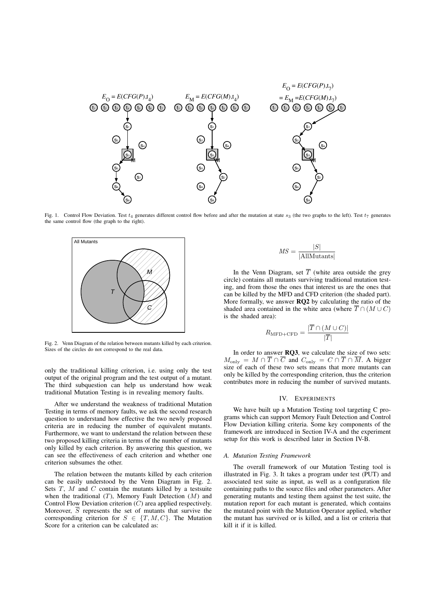

Fig. 1. Control Flow Deviation. Test  $t_A$  generates different control flow before and after the mutation at state  $s_3$  (the two graphs to the left). Test  $t_7$  generates the same control flow (the graph to the right).



Fig. 2. Venn Diagram of the relation between mutants killed by each criterion. Sizes of the circles do not correspond to the real data.

only the traditional killing criterion, i.e. using only the test output of the original program and the test output of a mutant. The third subquestion can help us understand how weak traditional Mutation Testing is in revealing memory faults.

After we understand the weakness of traditional Mutation Testing in terms of memory faults, we ask the second research question to understand how effective the two newly proposed criteria are in reducing the number of equivalent mutants. Furthermore, we want to understand the relation between these two proposed killing criteria in terms of the number of mutants only killed by each criterion. By answering this question, we can see the effectiveness of each criterion and whether one criterion subsumes the other.

The relation between the mutants killed by each criterion can be easily understood by the Venn Diagram in Fig. 2. Sets *T*, *M* and *C* contain the mutants killed by a testsuite when the traditional (*T*), Memory Fault Detection (*M*) and Control Flow Deviation criterion (*C*) area applied respectively. Moreover,  $\overline{S}$  represents the set of mutants that survive the corresponding criterion for  $S \in \{T, M, C\}$ . The Mutation Score for a criterion can be calculated as:

$$
MS = \frac{|S|}{|\text{AllMutants}|}
$$

In the Venn Diagram, set  $\overline{T}$  (white area outside the grey circle) contains all mutants surviving traditional mutation testing, and from those the ones that interest us are the ones that can be killed by the MFD and CFD criterion (the shaded part). More formally, we answer **RQ2** by calculating the ratio of the shaded area contained in the white area (where  $\overline{T} \cap (M \cup C)$ is the shaded area):

$$
R_{\mathrm{MFD+CFD}} = \frac{|\overline{T} \cap (M \cup C)|}{|\overline{T}|}
$$

In order to answer  $RQ3$ , we calculate the size of two sets:  $M_{\text{only}} = M \cap T \cap C$  and  $C_{\text{only}} = C \cap T \cap M$ . A bigger size of each of these two sets means that more mutants can only be killed by the corresponding criterion, thus the criterion contributes more in reducing the number of survived mutants.

## IV. EXPERIMENTS

We have built up a Mutation Testing tool targeting C programs which can support Memory Fault Detection and Control Flow Deviation killing criteria. Some key components of the framework are introduced in Section IV-A and the experiment setup for this work is described later in Section IV-B.

### *A. Mutation Testing Framework*

The overall framework of our Mutation Testing tool is illustrated in Fig. 3. It takes a program under test (PUT) and associated test suite as input, as well as a configuration file containing paths to the source files and other parameters. After generating mutants and testing them against the test suite, the mutation report for each mutant is generated, which contains the mutated point with the Mutation Operator applied, whether the mutant has survived or is killed, and a list or criteria that kill it if it is killed.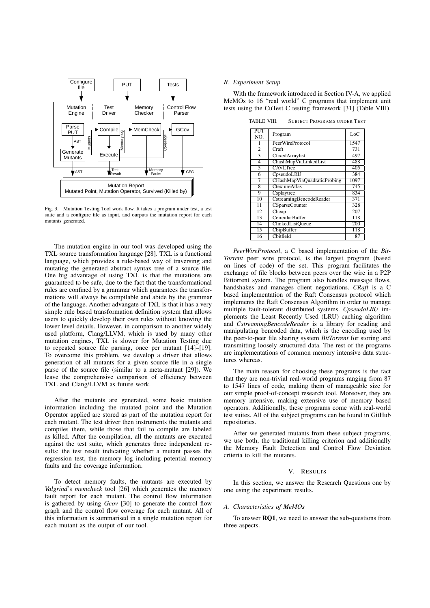

Fig. 3. Mutation Testing Tool work flow. It takes a program under test, a test suite and a configure file as input, and ourputs the mutation report for each mutants generated.

The mutation engine in our tool was developed using the TXL source transformation language [28]. TXL is a functional language, which provides a rule-based way of traversing and mutating the generated abstract syntax tree of a source file. One big advantage of using TXL is that the mutations are guaranteed to be safe, due to the fact that the transformational rules are confined by a grammar which guarantees the transformations will always be compilable and abide by the grammar of the language. Another advangate of TXL is that it has a very simple rule based transformation definition system that allows users to quickly develop their own rules without knowing the lower level details. However, in comparison to another widely used platform, Clang/LLVM, which is used by many other mutation engines, TXL is slower for Mutation Testing due to repeated source file parsing, once per mutant [14]–[19]. To overcome this problem, we develop a driver that allows generation of all mutants for a given source file in a single parse of the source file (similar to a meta-mutant [29]). We leave the comprehensive comparison of efficiency between TXL and Clang/LLVM as future work.

After the mutants are generated, some basic mutation information including the mutated point and the Mutation Operator applied are stored as part of the mutation report for each mutant. The test driver then instruments the mutants and compiles them, while those that fail to compile are labeled as killed. After the compilation, all the mutants are executed against the test suite, which generates three independent results: the test result indicating whether a mutant passes the regression test, the memory log including potential memory faults and the coverage information.

To detect memory faults, the mutants are executed by *Valgrind*'s *memcheck* tool [26] which generates the memory fault report for each mutant. The control flow information is gathered by using *Gcov* [30] to generate the control flow graph and the control flow coverage for each mutant. All of this information is summarised in a single mutation report for each mutant as the output of our tool.

# *B. Experiment Setup*

With the framework introduced in Section IV-A, we applied MeMOs to 16 "real world" C programs that implement unit tests using the CuTest C testing framework [31] (Table VIII).

| PUT            |                                | LoC  |
|----------------|--------------------------------|------|
| NO.            | Program                        |      |
| 1              | <b>PeerWireProtocol</b>        | 1547 |
| $\overline{2}$ | Craft                          | 731  |
| 3              | CfixedArraylist                | 497  |
| 4              | ChashMapViaLinkedList          | 488  |
| 5              | <b>CAVLTree</b>                | 405  |
| 6              | CpseudoLRU                     | 384  |
| 7              | CHashMapViaQuadraticProbing    | 1097 |
| 8              | <b>CtextureAtlas</b>           | 745  |
| 9              | Csplaytree                     | 834  |
| 10             | <b>CstreamingBencodeReader</b> | 371  |
| 11             | <b>CSparseCounter</b>          | 328  |
| 12             | Cheap                          | 207  |
| 13             | CcircularBuffer                | 118  |
| 14             | <b>ClinkedListOueue</b>        | 200  |
| 15             | CbipBuffer                     | 118  |
| 16             | Cbitfield                      | 87   |

TABLE VIII. SUBJECT PROGRAMS UNDER TEST

*PeerWireProtocol*, a C based implementation of the *Bit-Torrent* peer wire protocol, is the largest program (based on lines of code) of the set. This program facilitates the exchange of file blocks between peers over the wire in a P2P Bittorrent system. The program also handles message flows, handshakes and manages client negotiations. *CRaft* is a C based implementation of the Raft Consensus protocol which implements the Raft Consensus Algorithm in order to manage multiple fault-tolerant distributed systems. *CpseudoLRU* implements the Least Recently Used (LRU) caching algorithm and *CstreamingBencodeReader* is a library for reading and manipulating bencoded data, which is the encoding used by the peer-to-peer file sharing system *BitTorrent* for storing and transmitting loosely structured data. The rest of the programs are implementations of common memory intensive data structures whereas.

The main reason for choosing these programs is the fact that they are non-trivial real-world programs ranging from 87 to 1547 lines of code, making them of manageable size for our simple proof-of-concept research tool. Moreover, they are memory intensive, making extensive use of memory based operators. Additionally, these programs come with real-world test suites. All of the subject programs can be found in GitHub repositories.

After we generated mutants from these subject programs, we use both, the traditional killing criterion and additionally the Memory Fault Detection and Control Flow Deviation criteria to kill the mutants.

### V. RESULTS

In this section, we answer the Research Questions one by one using the experiment results.

#### *A. Characteristics of MeMOs*

To answer RQ1, we need to answer the sub-questions from three aspects.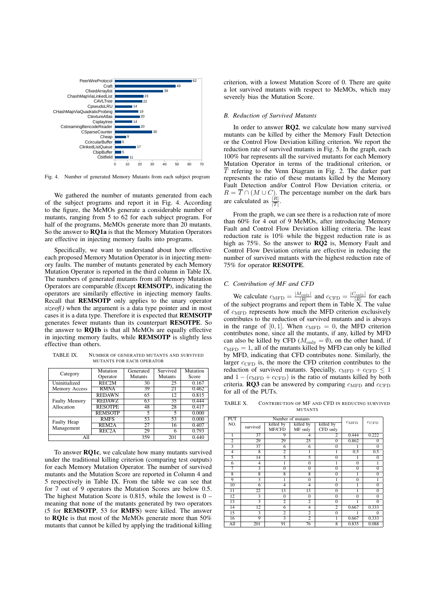

Fig. 4. Number of generated Memory Mutants from each subject program

We gathered the number of mutants generated from each of the subject programs and report it in Fig. 4. According to the figure, the MeMOs generate a considerable number of mutants, ranging from 5 to 62 for each subject program. For half of the programs, MeMOs generate more than 20 mutants. So the answer to RQ1a is that the Memory Mutation Operators are effective in injecting memory faults into programs.

the answer to  $\bf RQ1b$  is that all  $\sqrt[3]{24}$  MOs are equally effective Specifically, we want to understand about how effective each proposed Memory Mutation Operator is in injecting memory faults. The number of mutants generated by each Memory Mutation Operator is reported in the third column in Table IX. The numbers of generated mutants from all Memory Mutation Operators are comparable (Except REMSOTP), indicating the operators are similarily effective in injecting memory faults. Recall that REMSOTP only applies to the unary operator *sizeof()* when the argument is a data type pointer and in most cases it is a data type. Therefore it is expected that REMSOTP generates fewer mutants than its counterpart RESOTPE. So in injecting memory faults, while REMSOTP is slightly less effective than others.

TABLE IX. NUMBER OF GENERATED MUTANTS AND SURVIVED MUTANTS FOR EACH OPERATOR

|                                    | Mutation           | Generated      | Survived       | Mutation |
|------------------------------------|--------------------|----------------|----------------|----------|
| Category                           | Operator           | <b>Mutants</b> | <b>Mutants</b> | Score    |
| Uninitialized                      | REC <sub>2</sub> M | 30             | 25             | 0.167    |
| Memory Access                      | <b>RMNA</b>        | 39             | 21             | 0.462    |
|                                    | <b>REDAWN</b>      | 65             | 12             | 0.815    |
| <b>Faulty Memory</b><br>Allocation | REDAWZ             | 63             | 35             | 0.444    |
|                                    | <b>RESOTPE</b>     | 48             | 28             | 0.417    |
|                                    | <b>REMSOTP</b>     | 5              | 5              | 0.000    |
| Faulty Heap                        | <b>RMFS</b>        | 53             | 53             | 0.000    |
| Management                         | REM <sub>2</sub> A | 27             | 16             | 0.407    |
|                                    | REC <sub>2</sub> A | 29             | 6              | 0.793    |
| All                                |                    | 359            | 201            | 0.440    |

To answer RQ1c, we calculate how many mutants survived under the traditional killing criterion (comparing test outputs) for each Memory Mutation Operator. The number of survived mutants and the Mutation Score are reported in Column 4 and 5 respectively in Table IX. From the table we can see that for 7 out of 9 operators the Mutation Scores are below 0.5. The highest Mutation Score is  $0.815$ , while the lowest is  $0$ meaning that none of the mutants generated by two operators (5 for REMSOTP, 53 for RMFS) were killed. The answer to RQ1c is that most of the MeMOs generate more than 50% mutants that cannot be killed by applying the traditional killing criterion, with a lowest Mutation Score of 0. There are quite a lot survived mutants with respect to MeMOs, which may severely bias the Mutation Score.

## *B. Reduction of Survived Mutants*

In order to answer RQ2, we calculate how many survived mutants can be killed by either the Memory Fault Detection or the Control Flow Deviation killing criterion. We report the reduction rate of survived mutants in Fig. 5. In the graph, each 100% bar represents all the survived mutants for each Memory Mutation Operator in terms of the traditional criterion, or  $\overline{T}$  refering to the Venn Diagram in Fig. 2. The darker part represents the ratio of these mutants killed by the Memory Fault Detection and/or Control Flow Deviation criteria, or  $R = \overline{T} \cap (M \cup C)$ . The percentage number on the dark bars are calculated as  $\frac{|R|}{|\overline{T}|}$ .

From the graph, we can see there is a reduction rate of more than 60% for 4 out of 9 MeMOs, after introducing Memory Fault and Control Flow Deviation killing criteria. The least reduction rate is 10% while the biggest reduction rate is as high as 75%. So the answer to RQ2 is, Memory Fault and Control Flow Deviation criteria are effective in reducing the number of survived mutants with the highest reduction rate of 75% for operator RESOTPE.

# *C. Contribution of MF and CFD*

We calculate  $c_{\text{MFD}} = \frac{|M_{\text{only}}|}{|R|}$  and  $c_{\text{CFD}} = \frac{|C_{\text{only}}|}{|R|}$  for each of the subject programs and report them in Table X. The value of *c*MFD represents how much the MFD criterion exclusively contributes to the reduction of survived mutants and is always in the range of [0, 1]. When  $c_{\text{MFD}} = 0$ , the MFD criterion contributes none, since all the mutants, if any, killed by MFD can also be killed by CFD ( $M_{\text{only}} = \emptyset$ ), on the other hand, if  $c<sub>MFD</sub> = 1$ , all of the mutants killed by MFD can only be killed by MFD, indicating that CFD contributes none. Similarly, the larger  $c_{\text{CFD}}$  is, the more the CFD criterion contributes to the reduction of survived mutants. Specially,  $c_{\text{MFD}} + c_{\text{CFD}} \leq 1$ and  $1 - (c<sub>MFD</sub> + c<sub>CFD</sub>)$  is the ratio of mutants killed by both criteria. **RQ3** can be answered by comparing  $c_{\text{MFD}}$  and  $c_{\text{CFD}}$ for all of the PUTs.

TABLE X. CONTRIBUTION OF MF AND CFD IN REDUCING SURVIVED MUTANTS

|                |                |                | Number of mutants |                |                |                  |
|----------------|----------------|----------------|-------------------|----------------|----------------|------------------|
| <b>PUT</b>     |                |                |                   |                |                |                  |
| NO.            | survived       | killed by      | killed by         | killed by      | $c_{\rm MFD}$  | $c_{\text{CFD}}$ |
|                |                | MF/CFD         | MF only           | CFD only       |                |                  |
| 1              | 37             | 9              | $\overline{4}$    | $\overline{c}$ | 0.444          | 0.222            |
| $\overline{2}$ | 29             | 29             | 25                | $\Omega$       | 0.862          | 0                |
| 3              | 37             | 6              | 6                 | $\theta$       |                | $\overline{0}$   |
| $\overline{4}$ | $\overline{8}$ | $\overline{2}$ | 1                 |                | 0.5            | 0.5              |
| 5              | 14             | 5              | 5                 | $\Omega$       |                | 0                |
| $\overline{6}$ | 4              |                | $\overline{0}$    |                | $\overline{0}$ | 1                |
| 7              | 3              | $\Omega$       | $\Omega$          | $\Omega$       | $\Omega$       | 0                |
| $\overline{8}$ | $\overline{8}$ | $\overline{8}$ | $\overline{8}$    | $\Omega$       | 1              | $\overline{0}$   |
| $\overline{9}$ | 3              |                | $\overline{0}$    |                | $\Omega$       | 1                |
| 10             | 6              | $\overline{4}$ | $\overline{4}$    | $\Omega$       | 1              | $\overline{0}$   |
| 11             | 22             | 13             | 13                | $\theta$       |                | $\mathbf{0}$     |
| 12             | 3              | $\Omega$       | $\Omega$          | $\Omega$       | $\Omega$       | $\overline{0}$   |
| 13             | 3              | $\overline{c}$ | $\overline{2}$    | $\Omega$       |                | $\Omega$         |
| 14             | 12             | 6              | $\overline{4}$    | $\overline{2}$ | 0.667          | 0.333            |
| 15             | 3              | $\overline{2}$ | $\overline{2}$    | $\overline{0}$ | 1              | $\Omega$         |
| 16             | 9              | 3              | $\overline{c}$    |                | 0.667          | 0.333            |
| A11            | 201            | 91             | 76                | $\overline{8}$ | 0.835          | 0.088            |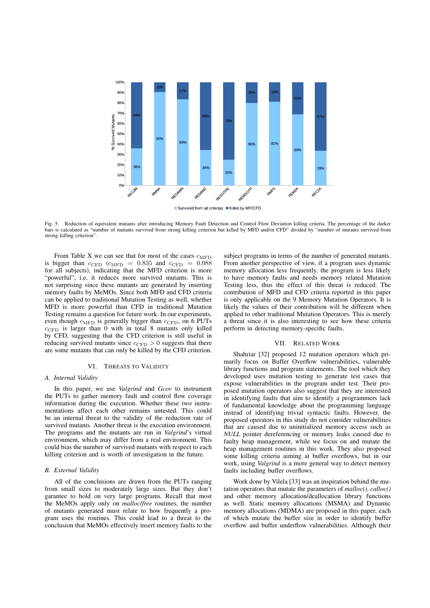

Fig. 5. Reduction of equivalent mutants after introducing Memory Fault Detection and Control Flow Deviation killing criteria. The percentage of the darker bars is calculated as "number of mutants survived from strong killing criterion but killed by MFD and/or CFD" divided by "number of mutants survived from strong killing criterion".

From Table X we can see that for most of the cases  $c_{\text{MFD}}$ is bigger than  $c_{\text{CFD}}$  ( $c_{\text{MFD}}$  = 0.835 and  $c_{\text{CFD}}$  = 0.088 for all subjects), indicating that the MFD criterion is more "powerful", i.e. it reduces more survived mutants. This is not surprising since these mutants are generated by inserting memory faults by MeMOs. Since both MFD and CFD criteria can be applied to traditional Mutation Testing as well, whether MFD is more powerful than CFD in traditional Mutation Testing remains a question for future work. In our experiments, even though  $c_{\text{MFD}}$  is generally bigger than  $c_{\text{CFD}}$ , on 6 PUTs *c*CFD is larger than 0 with in total 8 mutants only killed by CFD, suggesting that the CFD criterion is still useful in reducing survived mutants since  $c_{\text{CFD}} > 0$  suggests that there are some mutants that can only be killed by the CFD criterion.

# VI. THREATS TO VALIDITY

# *A. Internal Validity*

In this paper, we use *Valgrind* and *Gcov* to instrument the PUTs to gather memory fault and control flow coverage information during the execution. Whether these two instrumentations affect each other remains untested. This could be an internal threat to the validity of the reduction rate of survived mutants. Another threat is the execution environment. The programs and the mutants are run in *Valgrind*'s virtual environment, which may differ from a real environment. This could bias the number of survived mutants with respect to each killing criterion and is worth of investigation in the future.

## *B. External Validity*

All of the conclusions are drawn from the PUTs ranging from small sizes to moderately large sizes. But they don't garantee to hold on very large programs. Recall that most the MeMOs apply only on *malloc*/*free* routines, the number of mutants generated must relate to how frequently a program uses the routines. This could lead to a threat to the conclusion that MeMOs effectively insert memory faults to the subject programs in terms of the number of generated mutants. From another perspective of view, if a program uses dynamic memory allocation less frequently, the program is less likely to have memory faults and needs memory related Mutation Testing less, thus the effect of this threat is reduced. The contribution of MFD and CFD criteria reported in this paper is only applicable on the 9 Memory Mutation Operators. It is likely the values of their contribution will be different when applied to other traditional Mutation Operators. This is merely a threat since it is also interesting to see how these criteria perform in detecting memory-specific faults.

## VII. RELATED WORK

Shahriar [32] proposed 12 mutation operators which primarily focus on Buffer Overflow vulnerabilities, vulnerable library functions and program statements. The tool which they developed uses mutation testing to generate test cases that expose vulnerabilities in the program under test. Their proposed mutation operators also suggest that they are interested in identifying faults that aim to identify a programmers lack of fundamental knowledge about the programming language instead of identifying trivial syntactic faults. However, the proposed operators in this study do not consider vulnerabilities that are caused due to uninitialized memory access such as *NULL* pointer dereferencing or memory leaks caused due to faulty heap management, while we focus on and mutate the heap management routines in this work. They also proposed some killing criteria aiming at buffer overflows, but in our work, using *Valgrind* is a more general way to detect memory faults including buffer overflows.

Work done by Vilela [33] was an inspiration behind the mutation operators that mutate the parameters of *malloc()*, *calloc()* and other memory allocation/deallocation library functions as well. Static memory allocations (MSMA) and Dynamic memory allocations (MDMA) are proposed in this paper, each of which mutate the buffer size in order to identify buffer overflow and buffer underflow vulnerabilities. Although their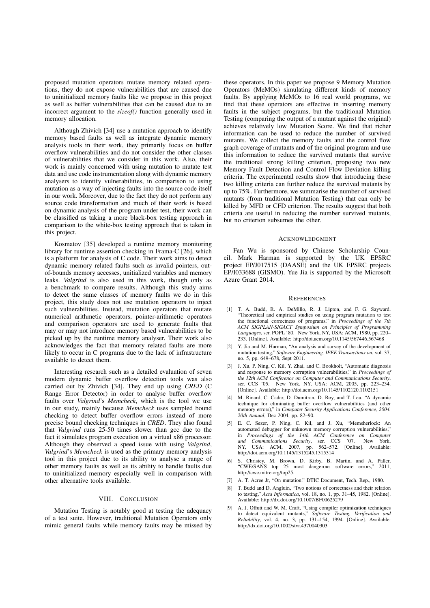proposed mutation operators mutate memory related operations, they do not expose vulnerabilities that are caused due to uninitialized memory faults like we propose in this project as well as buffer vulnerabilities that can be caused due to an incorrect argument to the *sizeof()* function generally used in memory allocation.

Although Zhivich [34] use a mutation approach to identify memory based faults as well as integrate dynamic memory analysis tools in their work, they primarily focus on buffer overflow vulnerabilities and do not consider the other classes of vulnerabilities that we consider in this work. Also, their work is mainly concerned with using mutation to mutate test data and use code instrumentation along with dynamic memory analysers to identify vulnerabilities, in comparison to using mutation as a way of injecting faults into the source code itself in our work. Moreover, due to the fact they do not perform any source code transformation and much of their work is based on dynamic analysis of the program under test, their work can be classified as taking a more black-box testing approach in comparison to the white-box testing approach that is taken in this project.

Kosmatov [35] developed a runtime memory monitoring library for runtime assertion checking in Frama-C [26], which is a platform for analysis of C code. Their work aims to detect dynamic memory related faults such as invalid pointers, outof-bounds memory accesses, unitialized variables and memory leaks. *Valgrind* is also used in this work, though only as a benchmark to compare results. Although this study aims to detect the same classes of memory faults we do in this project, this study does not use mutation operators to inject such vulnerabilities. Instead, mutation operators that mutate numerical arithmetic operators, pointer-arithmetic operators and comparison operators are used to generate faults that may or may not introduce memory based vulnerabilities to be picked up by the runtime memory analyser. Their work also acknowledges the fact that memory related faults are more likely to occur in C programs due to the lack of infrastructure available to detect them.

Interesting research such as a detailed evaluation of seven modern dynamic buffer overflow detection tools was also carried out by Zhivich [34]. They end up using *CRED* (C Range Error Detector) in order to analyse buffer overflow faults over *Valgrind*'s *Memcheck*, which is the tool we use in our study, mainly because *Memcheck* uses sampled bound checking to detect buffer overflow errors instead of more precise bound checking techniques in *CRED*. They also found that *Valgrind* runs 25-50 times slower than gcc due to the fact it simulates program execution on a virtual x86 processor. Although they observed a speed issue with using *Valgrind*, *Valgrind*'s *Memcheck* is used as the primary memory analysis tool in this project due to its ability to analyse a range of other memory faults as well as its ability to handle faults due to uninitialized memory especially well in comparison with other alternative tools available.

## VIII. CONCLUSION

Mutation Testing is notably good at testing the adequacy of a test suite. However, traditional Mutation Operators only mimic general faults while memory faults may be missed by these operators. In this paper we propose 9 Memory Mutation Operators (MeMOs) simulating different kinds of memory faults. By applying MeMOs to 16 real world programs, we find that these operators are effective in inserting memory faults in the subject programs, but the traditional Mutation Testing (comparing the output of a mutant against the original) achieves relatively low Mutation Score. We find that richer information can be used to reduce the number of survived mutants. We collect the memory faults and the control flow graph coverage of mutants and of the original program and use this information to reduce the survived mutants that survive the traditional strong killing criterion, proposing two new Memory Fault Detection and Control Flow Deviation killing criteria. The experimental results show that introducing these two killing criteria can further reduce the survived mutants by up to 75%. Furthermore, we summarise the number of survived mutants (from traditional Mutation Testing) that can only be killed by MFD or CFD criterion. The results suggest that both criteria are useful in reducing the number survived mutants, but no criterion subsumes the other.

#### ACKNOWLEDGMENT

Fan Wu is sponsored by Chinese Scholarship Council. Mark Harman is supported by the UK EPSRC project EP/J017515 (DAASE) and the UK EPSRC projects EP/I033688 (GISMO). Yue Jia is supported by the Microsoft Azure Grant 2014.

#### **REFERENCES**

- [1] T. A. Budd, R. A. DeMillo, R. J. Lipton, and F. G. Sayward, "Theoretical and empirical studies on using program mutation to test the functional correctness of programs," in *Proceedings of the 7th ACM SIGPLAN-SIGACT Symposium on Principles of Programming Languages*, ser. POPL '80. New York, NY, USA: ACM, 1980, pp. 220– 233. [Online]. Available: http://doi.acm.org/10.1145/567446.567468
- Y. Jia and M. Harman, "An analysis and survey of the development of mutation testing," *Software Engineering, IEEE Transactions on*, vol. 37, no. 5, pp. 649–678, Sept 2011.
- [3] J. Xu, P. Ning, C. Kil, Y. Zhai, and C. Bookholt, "Automatic diagnosis and response to memory corruption vulnerabilities," in *Proceedings of the 12th ACM Conference on Computer and Communications Security*, ser. CCS '05. New York, NY, USA: ACM, 2005, pp. 223–234. [Online]. Available: http://doi.acm.org/10.1145/1102120.1102151
- [4] M. Rinard, C. Cadar, D. Dumitran, D. Roy, and T. Leu, "A dynamic technique for eliminating buffer overflow vulnerabilities (and other memory errors)," in *Computer Security Applications Conference, 2004. 20th Annual*, Dec 2004, pp. 82–90.
- [5] E. C. Sezer, P. Ning, C. Kil, and J. Xu, "Memsherlock: An automated debugger for unknown memory corruption vulnerabilities," in *Proceedings of the 14th ACM Conference on Computer and Communications Security*, ser. CCS '07. New York, NY, USA: ACM, 2007, pp. 562–572. [Online]. Available: http://doi.acm.org/10.1145/1315245.1315314
- [6] S. Christey, M. Brown, D. Kirby, B. Martin, and A. Paller, "CWE/SANS top 25 most dangerous software errors," 2011, http://cwe.mitre.org/top25.
- [7] A. T. Acree Jr, "On mutation." DTIC Document, Tech. Rep., 1980.
- [8] T. Budd and D. Angluin, "Two notions of correctness and their relation to testing," *Acta Informatica*, vol. 18, no. 1, pp. 31–45, 1982. [Online]. Available: http://dx.doi.org/10.1007/BF00625279
- A. J. Offutt and W. M. Craft, "Using compiler optimization techniques to detect equivalent mutants," *Software Testing, Verification and Reliability*, vol. 4, no. 3, pp. 131–154, 1994. [Online]. Available: http://dx.doi.org/10.1002/stvr.4370040303